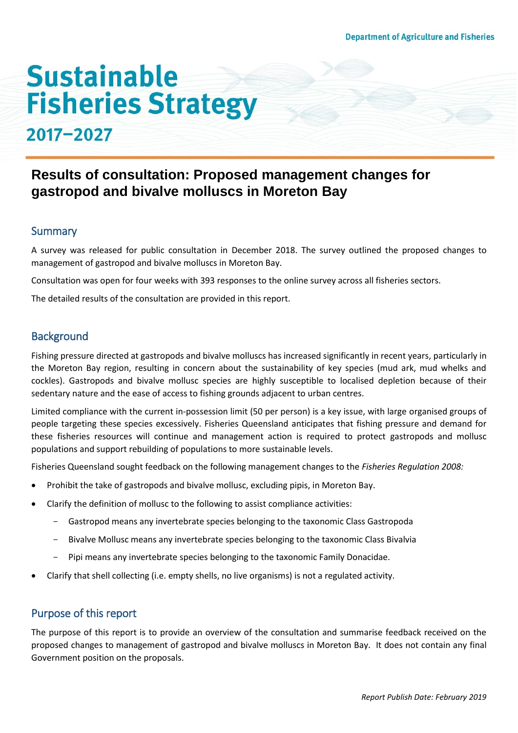# **Sustainable Fisheries Strategy**

## 2017-2027

### **Results of consultation: Proposed management changes for gastropod and bivalve molluscs in Moreton Bay**

#### **Summary**

A survey was released for public consultation in December 2018. The survey outlined the proposed changes to management of gastropod and bivalve molluscs in Moreton Bay.

Consultation was open for four weeks with 393 responses to the online survey across all fisheries sectors.

The detailed results of the consultation are provided in this report.

#### **Background**

Fishing pressure directed at gastropods and bivalve molluscs has increased significantly in recent years, particularly in the Moreton Bay region, resulting in concern about the sustainability of key species (mud ark, mud whelks and cockles). Gastropods and bivalve mollusc species are highly susceptible to localised depletion because of their sedentary nature and the ease of access to fishing grounds adjacent to urban centres.

Limited compliance with the current in-possession limit (50 per person) is a key issue, with large organised groups of people targeting these species excessively. Fisheries Queensland anticipates that fishing pressure and demand for these fisheries resources will continue and management action is required to protect gastropods and mollusc populations and support rebuilding of populations to more sustainable levels.

Fisheries Queensland sought feedback on the following management changes to the *Fisheries Regulation 2008:* 

- Prohibit the take of gastropods and bivalve mollusc, excluding pipis, in Moreton Bay.
- Clarify the definition of mollusc to the following to assist compliance activities:
	- Gastropod means any invertebrate species belonging to the taxonomic Class Gastropoda
	- Bivalve Mollusc means any invertebrate species belonging to the taxonomic Class Bivalvia
	- Pipi means any invertebrate species belonging to the taxonomic Family Donacidae.
- Clarify that shell collecting (i.e. empty shells, no live organisms) is not a regulated activity.

#### Purpose of this report

The purpose of this report is to provide an overview of the consultation and summarise feedback received on the proposed changes to management of gastropod and bivalve molluscs in Moreton Bay. It does not contain any final Government position on the proposals.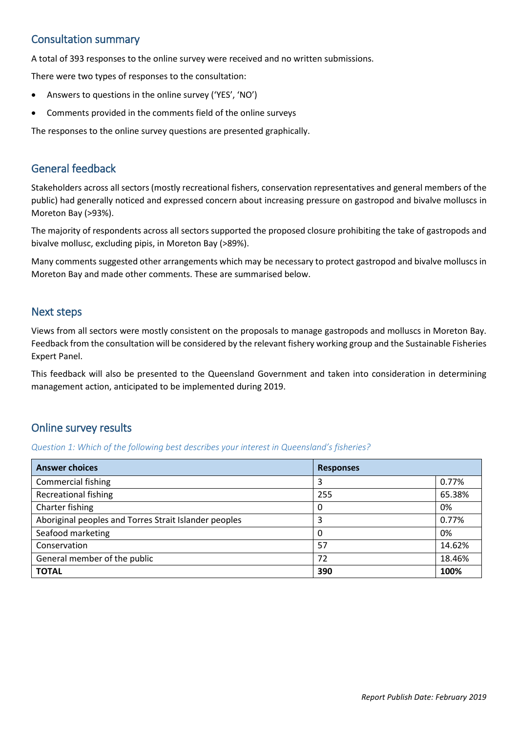#### Consultation summary

A total of 393 responses to the online survey were received and no written submissions.

There were two types of responses to the consultation:

- Answers to questions in the online survey ('YES', 'NO')
- Comments provided in the comments field of the online surveys

The responses to the online survey questions are presented graphically.

#### General feedback

Stakeholders across all sectors (mostly recreational fishers, conservation representatives and general members of the public) had generally noticed and expressed concern about increasing pressure on gastropod and bivalve molluscs in Moreton Bay (>93%).

The majority of respondents across all sectors supported the proposed closure prohibiting the take of gastropods and bivalve mollusc, excluding pipis, in Moreton Bay (>89%).

Many comments suggested other arrangements which may be necessary to protect gastropod and bivalve molluscs in Moreton Bay and made other comments. These are summarised below.

#### Next steps

Views from all sectors were mostly consistent on the proposals to manage gastropods and molluscs in Moreton Bay. Feedback from the consultation will be considered by the relevant fishery working group and the Sustainable Fisheries Expert Panel.

This feedback will also be presented to the Queensland Government and taken into consideration in determining management action, anticipated to be implemented during 2019.

#### Online survey results

*Question 1: Which of the following best describes your interest in Queensland's fisheries?* 

| <b>Answer choices</b>                                 | <b>Responses</b> |        |
|-------------------------------------------------------|------------------|--------|
| <b>Commercial fishing</b>                             | 3                | 0.77%  |
| <b>Recreational fishing</b>                           | 255              | 65.38% |
| Charter fishing                                       | 0                | 0%     |
| Aboriginal peoples and Torres Strait Islander peoples | 3                | 0.77%  |
| Seafood marketing                                     | 0                | 0%     |
| Conservation                                          | 57               | 14.62% |
| General member of the public                          | 72               | 18.46% |
| <b>TOTAL</b>                                          | 390              | 100%   |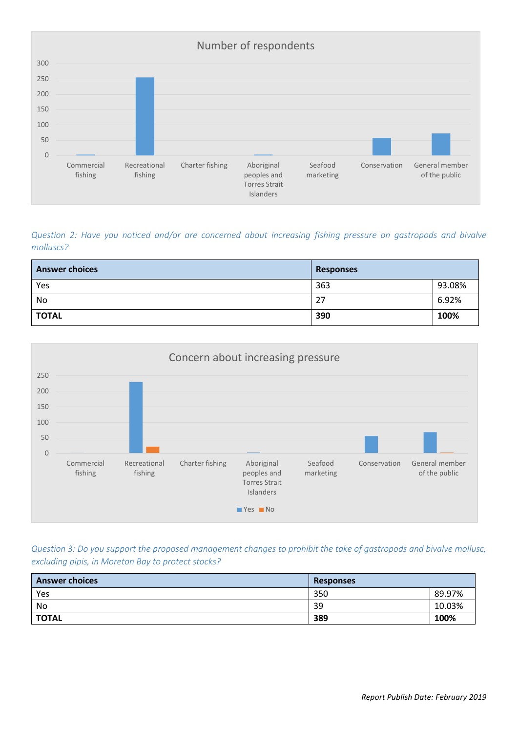

*Question 2: Have you noticed and/or are concerned about increasing fishing pressure on gastropods and bivalve molluscs?*

| <b>Answer choices</b> | <b>Responses</b> |        |
|-----------------------|------------------|--------|
| Yes                   | 363              | 93.08% |
| No                    | 27               | 6.92%  |
| <b>TOTAL</b>          | 390              | 100%   |



*Question 3: Do you support the proposed management changes to prohibit the take of gastropods and bivalve mollusc, excluding pipis, in Moreton Bay to protect stocks?*

| <b>Answer choices</b> | <b>Responses</b> |        |
|-----------------------|------------------|--------|
| Yes                   | 350              | 89.97% |
| No                    | 39               | 10.03% |
| <b>TOTAL</b>          | 389              | 100%   |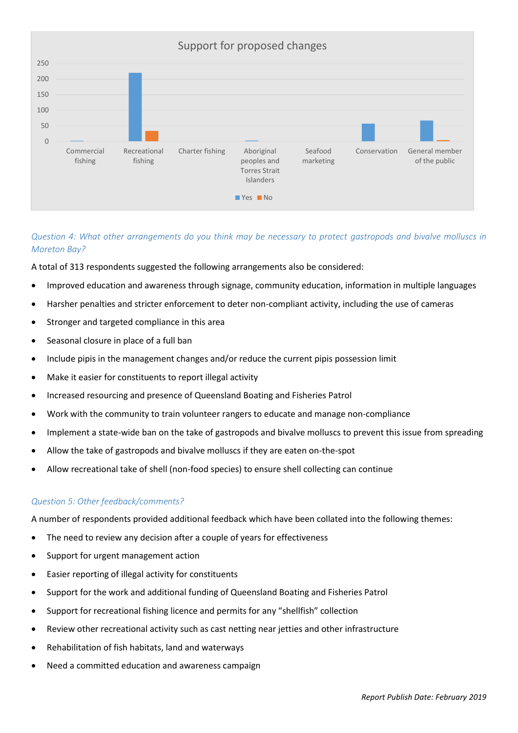

#### *Question 4: What other arrangements do you think may be necessary to protect gastropods and bivalve molluscs in Moreton Bay?*

A total of 313 respondents suggested the following arrangements also be considered:

- Improved education and awareness through signage, community education, information in multiple languages
- Harsher penalties and stricter enforcement to deter non-compliant activity, including the use of cameras
- Stronger and targeted compliance in this area
- Seasonal closure in place of a full ban
- Include pipis in the management changes and/or reduce the current pipis possession limit
- Make it easier for constituents to report illegal activity
- Increased resourcing and presence of Queensland Boating and Fisheries Patrol
- Work with the community to train volunteer rangers to educate and manage non-compliance
- Implement a state-wide ban on the take of gastropods and bivalve molluscs to prevent this issue from spreading
- Allow the take of gastropods and bivalve molluscs if they are eaten on-the-spot
- Allow recreational take of shell (non-food species) to ensure shell collecting can continue

#### *Question 5: Other feedback/comments?*

A number of respondents provided additional feedback which have been collated into the following themes:

- The need to review any decision after a couple of years for effectiveness
- Support for urgent management action
- Easier reporting of illegal activity for constituents
- Support for the work and additional funding of Queensland Boating and Fisheries Patrol
- Support for recreational fishing licence and permits for any "shellfish" collection
- Review other recreational activity such as cast netting near jetties and other infrastructure
- Rehabilitation of fish habitats, land and waterways
- Need a committed education and awareness campaign